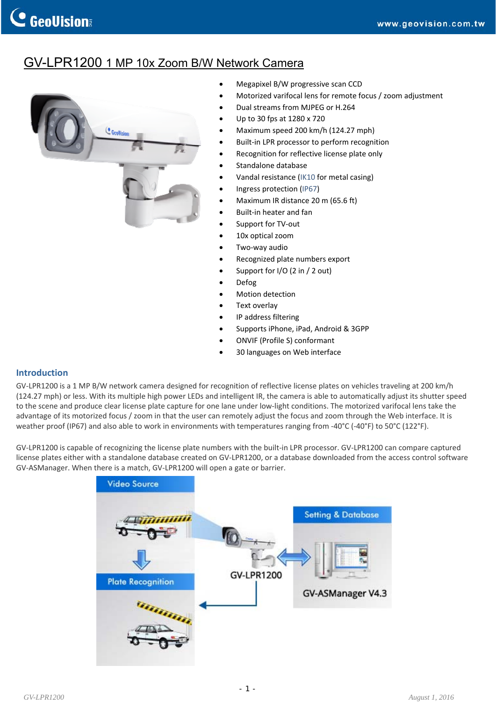## GV-LPR1200 1 MP 10x Zoom B/W Network Camera



- Megapixel B/W progressive scan CCD
- Motorized varifocal lens for remote focus / zoom adjustment
- Dual streams from MJPEG or H.264
- Up to 30 fps at 1280 x 720
- Maximum speed 200 km/h (124.27 mph)
- Built‐in LPR processor to perform recognition
- Recognition for reflective license plate only
- Standalone database
- Vandal resistance ([IK10](http://www.geovision.com.tw/english/note_IK.htm) for metal casing)
- Ingress protection ([IP67\)](http://www.geovision.com.tw/english/note_IP66.htm)
- Maximum IR distance 20 m (65.6 ft)
- Built‐in heater and fan
- Support for TV‐out
- 10x optical zoom
- Two‐way audio
- Recognized plate numbers export
- Support for I/O (2 in / 2 out)
- Defog
- Motion detection
- Text overlay
- IP address filtering
- Supports iPhone, iPad, Android & 3GPP
- ONVIF (Profile S) conformant
- 30 languages on Web interface

#### **Introduction**

GV‐LPR1200 is a 1 MP B/W network camera designed for recognition of reflective license plates on vehicles traveling at 200 km/h (124.27 mph) or less. With its multiple high power LEDs and intelligent IR, the camera is able to automatically adjust its shutter speed to the scene and produce clear license plate capture for one lane under low‐light conditions. The motorized varifocal lens take the advantage of its motorized focus / zoom in that the user can remotely adjust the focus and zoom through the Web interface. It is weather proof (IP67) and also able to work in environments with temperatures ranging from ‐40°C (‐40°F) to 50°C (122°F).

GV‐LPR1200 is capable of recognizing the license plate numbers with the built‐in LPR processor. GV‐LPR1200 can compare captured license plates either with a standalone database created on GV‐LPR1200, or a database downloaded from the access control software GV‐ASManager. When there is a match, GV‐LPR1200 will open a gate or barrier.

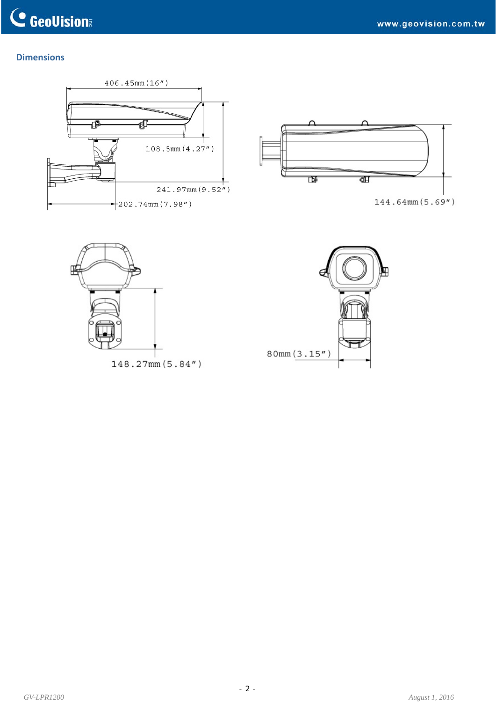### **Dimensions**





144.64mm(5.69")



148.27mm (5.84")

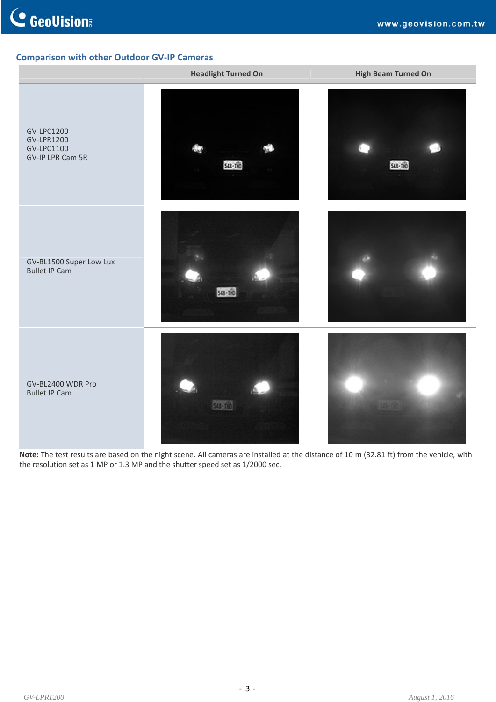### **Comparison with other Outdoor GV‐IP Cameras**



**Note:** The test results are based on the night scene. All cameras are installed at the distance of 10 m (32.81 ft) from the vehicle, with the resolution set as 1 MP or 1.3 MP and the shutter speed set as 1/2000 sec.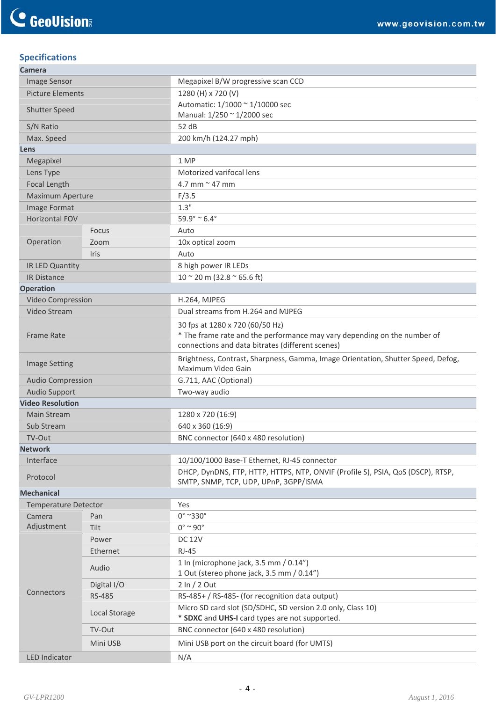## **Specifications**

| <b>Camera</b>               |               |                                                                                                                              |  |  |
|-----------------------------|---------------|------------------------------------------------------------------------------------------------------------------------------|--|--|
| Image Sensor                |               | Megapixel B/W progressive scan CCD                                                                                           |  |  |
| <b>Picture Elements</b>     |               | 1280 (H) x 720 (V)                                                                                                           |  |  |
| Shutter Speed               |               | Automatic: 1/1000 ~ 1/10000 sec                                                                                              |  |  |
|                             |               | Manual: 1/250 ~ 1/2000 sec                                                                                                   |  |  |
| S/N Ratio                   |               | 52 dB                                                                                                                        |  |  |
| Max. Speed                  |               | 200 km/h (124.27 mph)                                                                                                        |  |  |
| Lens                        |               |                                                                                                                              |  |  |
| Megapixel                   |               | 1 MP                                                                                                                         |  |  |
| Lens Type                   |               | Motorized varifocal lens                                                                                                     |  |  |
| Focal Length                |               | 4.7 mm $\approx$ 47 mm                                                                                                       |  |  |
| Maximum Aperture            |               | F/3.5                                                                                                                        |  |  |
| Image Format                |               | 1.3"                                                                                                                         |  |  |
| <b>Horizontal FOV</b>       |               | $59.9^{\circ} \approx 6.4^{\circ}$                                                                                           |  |  |
|                             | Focus         | Auto                                                                                                                         |  |  |
| Operation                   | Zoom          | 10x optical zoom                                                                                                             |  |  |
|                             | <b>Iris</b>   | Auto                                                                                                                         |  |  |
| IR LED Quantity             |               | 8 high power IR LEDs                                                                                                         |  |  |
| <b>IR Distance</b>          |               | $10 \approx 20$ m (32.8 $\approx$ 65.6 ft)                                                                                   |  |  |
| <b>Operation</b>            |               |                                                                                                                              |  |  |
| Video Compression           |               | <b>H.264, MJPEG</b>                                                                                                          |  |  |
| Video Stream                |               | Dual streams from H.264 and MJPEG                                                                                            |  |  |
|                             |               | 30 fps at 1280 x 720 (60/50 Hz)                                                                                              |  |  |
| <b>Frame Rate</b>           |               | * The frame rate and the performance may vary depending on the number of<br>connections and data bitrates (different scenes) |  |  |
|                             |               |                                                                                                                              |  |  |
| <b>Image Setting</b>        |               | Brightness, Contrast, Sharpness, Gamma, Image Orientation, Shutter Speed, Defog,<br>Maximum Video Gain                       |  |  |
| <b>Audio Compression</b>    |               | G.711, AAC (Optional)                                                                                                        |  |  |
| <b>Audio Support</b>        |               | Two-way audio                                                                                                                |  |  |
| <b>Video Resolution</b>     |               |                                                                                                                              |  |  |
| <b>Main Stream</b>          |               | 1280 x 720 (16:9)                                                                                                            |  |  |
| Sub Stream                  |               | 640 x 360 (16:9)                                                                                                             |  |  |
| TV-Out                      |               | BNC connector (640 x 480 resolution)                                                                                         |  |  |
| <b>Network</b>              |               |                                                                                                                              |  |  |
| Interface                   |               | 10/100/1000 Base-T Ethernet, RJ-45 connector                                                                                 |  |  |
| Protocol                    |               | DHCP, DynDNS, FTP, HTTP, HTTPS, NTP, ONVIF (Profile S), PSIA, QoS (DSCP), RTSP,<br>SMTP, SNMP, TCP, UDP, UPnP, 3GPP/ISMA     |  |  |
| <b>Mechanical</b>           |               |                                                                                                                              |  |  |
| <b>Temperature Detector</b> |               | Yes                                                                                                                          |  |  |
| Camera                      | Pan           | $0^\circ$ ~330 $^\circ$                                                                                                      |  |  |
| Adjustment                  | Tilt          | $0^\circ \sim 90^\circ$                                                                                                      |  |  |
|                             | Power         | <b>DC 12V</b>                                                                                                                |  |  |
|                             | Ethernet      | <b>RJ-45</b>                                                                                                                 |  |  |
|                             | Audio         | 1 In (microphone jack, 3.5 mm / 0.14")<br>1 Out (stereo phone jack, 3.5 mm / 0.14")                                          |  |  |
|                             | Digital I/O   | $2 \ln / 2$ Out                                                                                                              |  |  |
| Connectors                  | <b>RS-485</b> | RS-485+ / RS-485- (for recognition data output)                                                                              |  |  |
|                             | Local Storage | Micro SD card slot (SD/SDHC, SD version 2.0 only, Class 10)<br>* SDXC and UHS-I card types are not supported.                |  |  |
|                             | TV-Out        | BNC connector (640 x 480 resolution)                                                                                         |  |  |
|                             |               |                                                                                                                              |  |  |
|                             | Mini USB      | Mini USB port on the circuit board (for UMTS)                                                                                |  |  |
| <b>LED Indicator</b>        |               | N/A                                                                                                                          |  |  |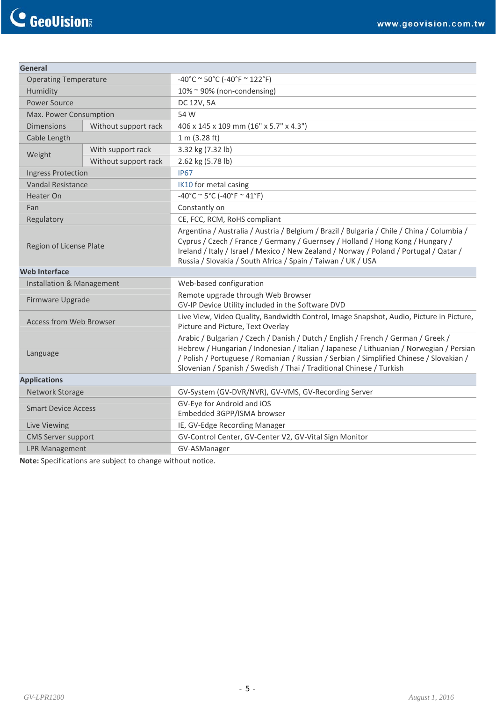| General                        |                      |                                                                                                                                                                                                                                                                                                                                                 |  |
|--------------------------------|----------------------|-------------------------------------------------------------------------------------------------------------------------------------------------------------------------------------------------------------------------------------------------------------------------------------------------------------------------------------------------|--|
| <b>Operating Temperature</b>   |                      | $-40^{\circ}$ C ~ 50°C (-40°F ~ 122°F)                                                                                                                                                                                                                                                                                                          |  |
| Humidity                       |                      | $10\%$ ~ 90% (non-condensing)                                                                                                                                                                                                                                                                                                                   |  |
| <b>Power Source</b>            |                      | DC 12V, 5A                                                                                                                                                                                                                                                                                                                                      |  |
| Max. Power Consumption         |                      | 54 W                                                                                                                                                                                                                                                                                                                                            |  |
| <b>Dimensions</b>              | Without support rack | 406 x 145 x 109 mm (16" x 5.7" x 4.3")                                                                                                                                                                                                                                                                                                          |  |
| Cable Length                   |                      | 1 m (3.28 ft)                                                                                                                                                                                                                                                                                                                                   |  |
| Weight                         | With support rack    | 3.32 kg (7.32 lb)                                                                                                                                                                                                                                                                                                                               |  |
|                                | Without support rack | 2.62 kg (5.78 lb)                                                                                                                                                                                                                                                                                                                               |  |
| <b>Ingress Protection</b>      |                      | <b>IP67</b>                                                                                                                                                                                                                                                                                                                                     |  |
| <b>Vandal Resistance</b>       |                      | IK10 for metal casing                                                                                                                                                                                                                                                                                                                           |  |
| Heater On                      |                      | $-40^{\circ}$ C ~ 5°C (-40°F ~ 41°F)                                                                                                                                                                                                                                                                                                            |  |
| Fan                            |                      | Constantly on                                                                                                                                                                                                                                                                                                                                   |  |
| Regulatory                     |                      | CE, FCC, RCM, RoHS compliant                                                                                                                                                                                                                                                                                                                    |  |
| Region of License Plate        |                      | Argentina / Australia / Austria / Belgium / Brazil / Bulgaria / Chile / China / Columbia /<br>Cyprus / Czech / France / Germany / Guernsey / Holland / Hong Kong / Hungary /<br>Ireland / Italy / Israel / Mexico / New Zealand / Norway / Poland / Portugal / Qatar /<br>Russia / Slovakia / South Africa / Spain / Taiwan / UK / USA          |  |
| <b>Web Interface</b>           |                      |                                                                                                                                                                                                                                                                                                                                                 |  |
| Installation & Management      |                      | Web-based configuration                                                                                                                                                                                                                                                                                                                         |  |
| Firmware Upgrade               |                      | Remote upgrade through Web Browser<br>GV-IP Device Utility included in the Software DVD                                                                                                                                                                                                                                                         |  |
| <b>Access from Web Browser</b> |                      | Live View, Video Quality, Bandwidth Control, Image Snapshot, Audio, Picture in Picture,<br>Picture and Picture, Text Overlay                                                                                                                                                                                                                    |  |
| Language                       |                      | Arabic / Bulgarian / Czech / Danish / Dutch / English / French / German / Greek /<br>Hebrew / Hungarian / Indonesian / Italian / Japanese / Lithuanian / Norwegian / Persian<br>/ Polish / Portuguese / Romanian / Russian / Serbian / Simplified Chinese / Slovakian /<br>Slovenian / Spanish / Swedish / Thai / Traditional Chinese / Turkish |  |
| <b>Applications</b>            |                      |                                                                                                                                                                                                                                                                                                                                                 |  |
| Network Storage                |                      | GV-System (GV-DVR/NVR), GV-VMS, GV-Recording Server                                                                                                                                                                                                                                                                                             |  |
| <b>Smart Device Access</b>     |                      | GV-Eye for Android and iOS<br>Embedded 3GPP/ISMA browser                                                                                                                                                                                                                                                                                        |  |
| Live Viewing                   |                      | IE, GV-Edge Recording Manager                                                                                                                                                                                                                                                                                                                   |  |
| <b>CMS Server support</b>      |                      | GV-Control Center, GV-Center V2, GV-Vital Sign Monitor                                                                                                                                                                                                                                                                                          |  |
| <b>LPR Management</b>          |                      | GV-ASManager                                                                                                                                                                                                                                                                                                                                    |  |

**Note:** Specifications are subject to change without notice.